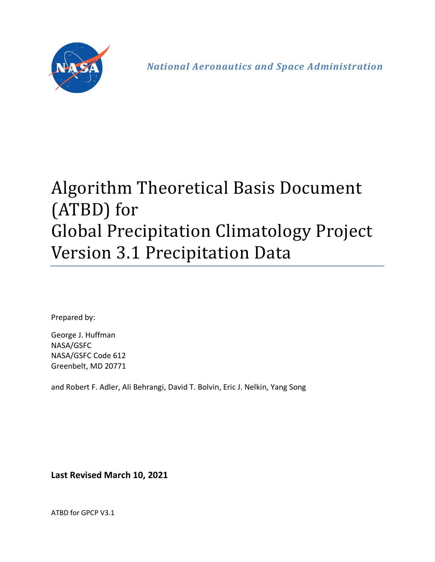

*National Aeronautics and Space Administration* 

# Algorithm Theoretical Basis Document (ATBD) for Global Precipitation Climatology Project Version 3.1 Precipitation Data

Prepared by:

George J. Huffman NASA/GSFC NASA/GSFC Code 612 Greenbelt, MD 20771

and Robert F. Adler, Ali Behrangi, David T. Bolvin, Eric J. Nelkin, Yang Song

**Last Revised March 10, 2021**

ATBD for GPCP V3.1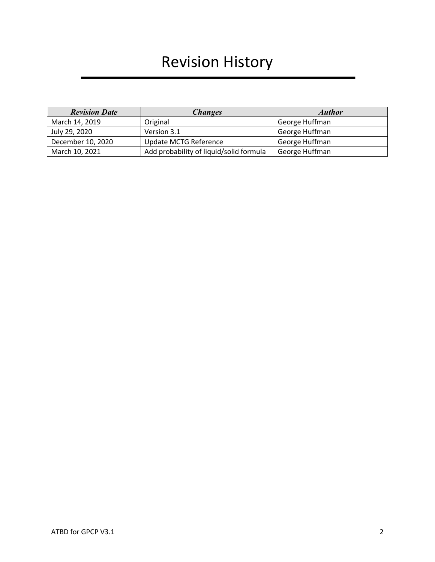# Revision History

| <b>Revision Date</b> | <b>Changes</b>                          | <b>Author</b>  |
|----------------------|-----------------------------------------|----------------|
| March 14, 2019       | Original                                | George Huffman |
| July 29, 2020        | Version 3.1                             | George Huffman |
| December 10, 2020    | <b>Update MCTG Reference</b>            | George Huffman |
| March 10, 2021       | Add probability of liquid/solid formula | George Huffman |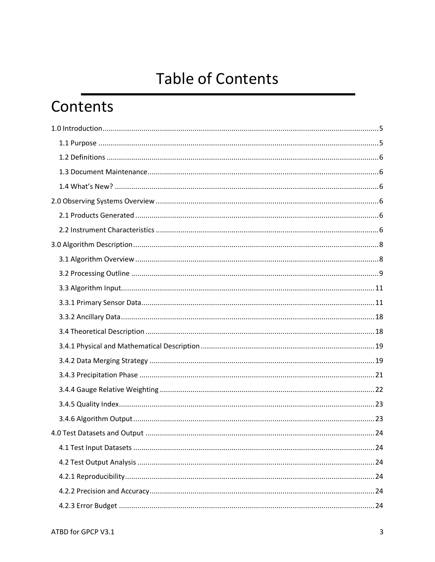# **Table of Contents**

# Contents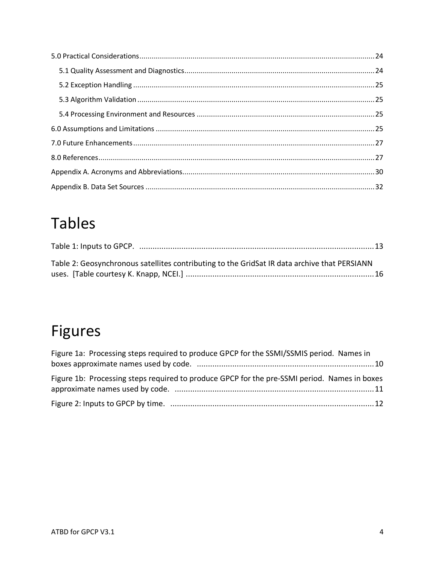# **Tables**

| Table 2: Geosynchronous satellites contributing to the GridSat IR data archive that PERSIANN |  |
|----------------------------------------------------------------------------------------------|--|
|                                                                                              |  |

# **Figures**

| Figure 1a: Processing steps required to produce GPCP for the SSMI/SSMIS period. Names in     |  |
|----------------------------------------------------------------------------------------------|--|
|                                                                                              |  |
| Figure 1b: Processing steps required to produce GPCP for the pre-SSMI period. Names in boxes |  |
|                                                                                              |  |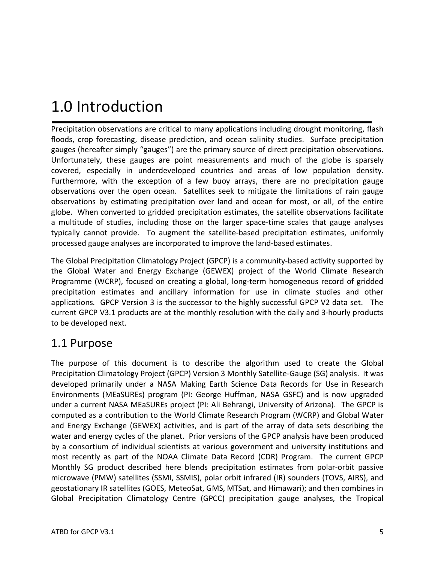# 1.0 Introduction

Precipitation observations are critical to many applications including drought monitoring, flash floods, crop forecasting, disease prediction, and ocean salinity studies. Surface precipitation gauges (hereafter simply "gauges") are the primary source of direct precipitation observations. Unfortunately, these gauges are point measurements and much of the globe is sparsely covered, especially in underdeveloped countries and areas of low population density. Furthermore, with the exception of a few buoy arrays, there are no precipitation gauge observations over the open ocean. Satellites seek to mitigate the limitations of rain gauge observations by estimating precipitation over land and ocean for most, or all, of the entire globe. When converted to gridded precipitation estimates, the satellite observations facilitate a multitude of studies, including those on the larger space-time scales that gauge analyses typically cannot provide. To augment the satellite-based precipitation estimates, uniformly processed gauge analyses are incorporated to improve the land-based estimates.

The Global Precipitation Climatology Project (GPCP) is a community-based activity supported by the Global Water and Energy Exchange (GEWEX) project of the World Climate Research Programme (WCRP), focused on creating a global, long-term homogeneous record of gridded precipitation estimates and ancillary information for use in climate studies and other applications*.* GPCP Version 3 is the successor to the highly successful GPCP V2 data set. The current GPCP V3.1 products are at the monthly resolution with the daily and 3-hourly products to be developed next.

### 1.1 Purpose

The purpose of this document is to describe the algorithm used to create the Global Precipitation Climatology Project (GPCP) Version 3 Monthly Satellite-Gauge (SG) analysis. It was developed primarily under a NASA Making Earth Science Data Records for Use in Research Environments (MEaSUREs) program (PI: George Huffman, NASA GSFC) and is now upgraded under a current NASA MEaSUREs project (PI: Ali Behrangi, University of Arizona). The GPCP is computed as a contribution to the World Climate Research Program (WCRP) and Global Water and Energy Exchange (GEWEX) activities, and is part of the array of data sets describing the water and energy cycles of the planet. Prior versions of the GPCP analysis have been produced by a consortium of individual scientists at various government and university institutions and most recently as part of the NOAA Climate Data Record (CDR) Program. The current GPCP Monthly SG product described here blends precipitation estimates from polar-orbit passive microwave (PMW) satellites (SSMI, SSMIS), polar orbit infrared (IR) sounders (TOVS, AIRS), and geostationary IR satellites (GOES, MeteoSat, GMS, MTSat, and Himawari); and then combines in Global Precipitation Climatology Centre (GPCC) precipitation gauge analyses, the Tropical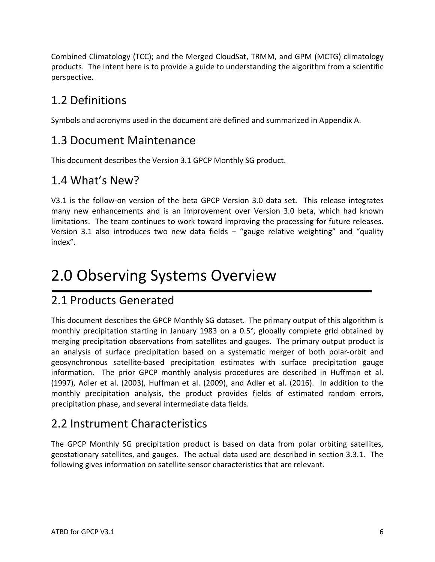Combined Climatology (TCC); and the Merged CloudSat, TRMM, and GPM (MCTG) climatology products. The intent here is to provide a guide to understanding the algorithm from a scientific perspective.

## 1.2 Definitions

Symbols and acronyms used in the document are defined and summarized in Appendix A.

## 1.3 Document Maintenance

This document describes the Version 3.1 GPCP Monthly SG product.

## 1.4 What's New?

V3.1 is the follow-on version of the beta GPCP Version 3.0 data set. This release integrates many new enhancements and is an improvement over Version 3.0 beta, which had known limitations. The team continues to work toward improving the processing for future releases. Version 3.1 also introduces two new data fields – "gauge relative weighting" and "quality index".

# 2.0 Observing Systems Overview

## 2.1 Products Generated

This document describes the GPCP Monthly SG dataset. The primary output of this algorithm is monthly precipitation starting in January 1983 on a 0.5°, globally complete grid obtained by merging precipitation observations from satellites and gauges. The primary output product is an analysis of surface precipitation based on a systematic merger of both polar-orbit and geosynchronous satellite-based precipitation estimates with surface precipitation gauge information. The prior GPCP monthly analysis procedures are described in Huffman et al. (1997), Adler et al. (2003), Huffman et al. (2009), and Adler et al. (2016). In addition to the monthly precipitation analysis, the product provides fields of estimated random errors, precipitation phase, and several intermediate data fields.

## 2.2 Instrument Characteristics

The GPCP Monthly SG precipitation product is based on data from polar orbiting satellites, geostationary satellites, and gauges. The actual data used are described in section 3.3.1. The following gives information on satellite sensor characteristics that are relevant.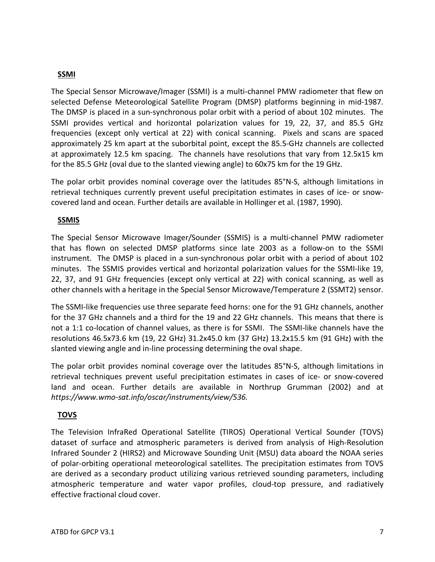### **SSMI**

The Special Sensor Microwave/Imager (SSMI) is a multi-channel PMW radiometer that flew on selected Defense Meteorological Satellite Program (DMSP) platforms beginning in mid-1987. The DMSP is placed in a sun-synchronous polar orbit with a period of about 102 minutes. The SSMI provides vertical and horizontal polarization values for 19, 22, 37, and 85.5 GHz frequencies (except only vertical at 22) with conical scanning. Pixels and scans are spaced approximately 25 km apart at the suborbital point, except the 85.5-GHz channels are collected at approximately 12.5 km spacing. The channels have resolutions that vary from 12.5x15 km for the 85.5 GHz (oval due to the slanted viewing angle) to 60x75 km for the 19 GHz.

The polar orbit provides nominal coverage over the latitudes 85°N-S, although limitations in retrieval techniques currently prevent useful precipitation estimates in cases of ice- or snowcovered land and ocean. Further details are available in Hollinger et al. (1987, 1990).

### **SSMIS**

The Special Sensor Microwave Imager/Sounder (SSMIS) is a multi-channel PMW radiometer that has flown on selected DMSP platforms since late 2003 as a follow-on to the SSMI instrument. The DMSP is placed in a sun-synchronous polar orbit with a period of about 102 minutes. The SSMIS provides vertical and horizontal polarization values for the SSMI-like 19, 22, 37, and 91 GHz frequencies (except only vertical at 22) with conical scanning, as well as other channels with a heritage in the Special Sensor Microwave/Temperature 2 (SSMT2) sensor.

The SSMI-like frequencies use three separate feed horns: one for the 91 GHz channels, another for the 37 GHz channels and a third for the 19 and 22 GHz channels. This means that there is not a 1:1 co-location of channel values, as there is for SSMI. The SSMI-like channels have the resolutions 46.5x73.6 km (19, 22 GHz) 31.2x45.0 km (37 GHz) 13.2x15.5 km (91 GHz) with the slanted viewing angle and in-line processing determining the oval shape.

The polar orbit provides nominal coverage over the latitudes 85°N-S, although limitations in retrieval techniques prevent useful precipitation estimates in cases of ice- or snow-covered land and ocean. Further details are available in Northrup Grumman (2002) and at *https://www.wmo-sat.info/oscar/instruments/view/536.*

### **TOVS**

The Television InfraRed Operational Satellite (TIROS) Operational Vertical Sounder (TOVS) dataset of surface and atmospheric parameters is derived from analysis of High-Resolution Infrared Sounder 2 (HIRS2) and Microwave Sounding Unit (MSU) data aboard the NOAA series of polar-orbiting operational meteorological satellites. The precipitation estimates from TOVS are derived as a secondary product utilizing various retrieved sounding parameters, including atmospheric temperature and water vapor profiles, cloud-top pressure, and radiatively effective fractional cloud cover.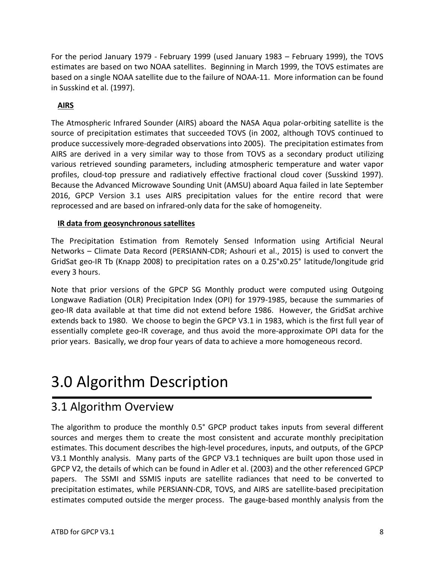For the period January 1979 - February 1999 (used January 1983 – February 1999), the TOVS estimates are based on two NOAA satellites. Beginning in March 1999, the TOVS estimates are based on a single NOAA satellite due to the failure of NOAA-11. More information can be found in Susskind et al. (1997).

### **AIRS**

The Atmospheric Infrared Sounder (AIRS) aboard the NASA Aqua polar-orbiting satellite is the source of precipitation estimates that succeeded TOVS (in 2002, although TOVS continued to produce successively more-degraded observations into 2005). The precipitation estimates from AIRS are derived in a very similar way to those from TOVS as a secondary product utilizing various retrieved sounding parameters, including atmospheric temperature and water vapor profiles, cloud-top pressure and radiatively effective fractional cloud cover (Susskind 1997). Because the Advanced Microwave Sounding Unit (AMSU) aboard Aqua failed in late September 2016, GPCP Version 3.1 uses AIRS precipitation values for the entire record that were reprocessed and are based on infrared-only data for the sake of homogeneity.

### **IR data from geosynchronous satellites**

The Precipitation Estimation from Remotely Sensed Information using Artificial Neural Networks – Climate Data Record (PERSIANN-CDR; Ashouri et al., 2015) is used to convert the GridSat geo-IR Tb (Knapp 2008) to precipitation rates on a 0.25°x0.25° latitude/longitude grid every 3 hours.

Note that prior versions of the GPCP SG Monthly product were computed using Outgoing Longwave Radiation (OLR) Precipitation Index (OPI) for 1979-1985, because the summaries of geo-IR data available at that time did not extend before 1986. However, the GridSat archive extends back to 1980. We choose to begin the GPCP V3.1 in 1983, which is the first full year of essentially complete geo-IR coverage, and thus avoid the more-approximate OPI data for the prior years. Basically, we drop four years of data to achieve a more homogeneous record.

# 3.0 Algorithm Description

### 3.1 Algorithm Overview

The algorithm to produce the monthly 0.5° GPCP product takes inputs from several different sources and merges them to create the most consistent and accurate monthly precipitation estimates. This document describes the high-level procedures, inputs, and outputs, of the GPCP V3.1 Monthly analysis. Many parts of the GPCP V3.1 techniques are built upon those used in GPCP V2, the details of which can be found in Adler et al. (2003) and the other referenced GPCP papers. The SSMI and SSMIS inputs are satellite radiances that need to be converted to precipitation estimates, while PERSIANN-CDR, TOVS, and AIRS are satellite-based precipitation estimates computed outside the merger process. The gauge-based monthly analysis from the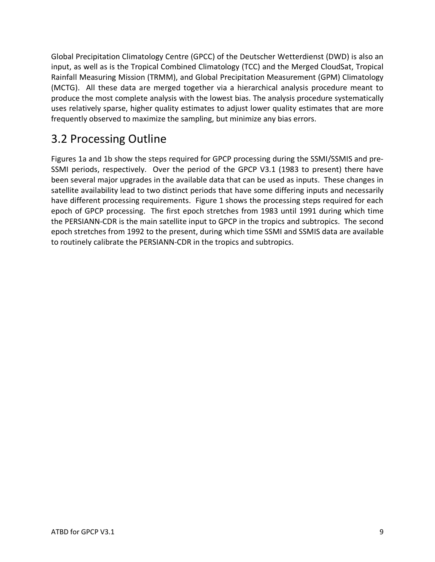Global Precipitation Climatology Centre (GPCC) of the Deutscher Wetterdienst (DWD) is also an input, as well as is the Tropical Combined Climatology (TCC) and the Merged CloudSat, Tropical Rainfall Measuring Mission (TRMM), and Global Precipitation Measurement (GPM) Climatology (MCTG). All these data are merged together via a hierarchical analysis procedure meant to produce the most complete analysis with the lowest bias. The analysis procedure systematically uses relatively sparse, higher quality estimates to adjust lower quality estimates that are more frequently observed to maximize the sampling, but minimize any bias errors.

## 3.2 Processing Outline

Figures 1a and 1b show the steps required for GPCP processing during the SSMI/SSMIS and pre-SSMI periods, respectively. Over the period of the GPCP V3.1 (1983 to present) there have been several major upgrades in the available data that can be used as inputs. These changes in satellite availability lead to two distinct periods that have some differing inputs and necessarily have different processing requirements. Figure 1 shows the processing steps required for each epoch of GPCP processing. The first epoch stretches from 1983 until 1991 during which time the PERSIANN-CDR is the main satellite input to GPCP in the tropics and subtropics. The second epoch stretches from 1992 to the present, during which time SSMI and SSMIS data are available to routinely calibrate the PERSIANN-CDR in the tropics and subtropics.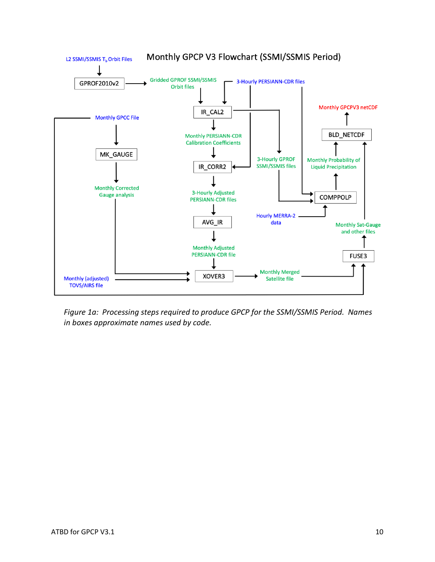

*Figure 1a: Processing steps required to produce GPCP for the SSMI/SSMIS Period. Names in boxes approximate names used by code.*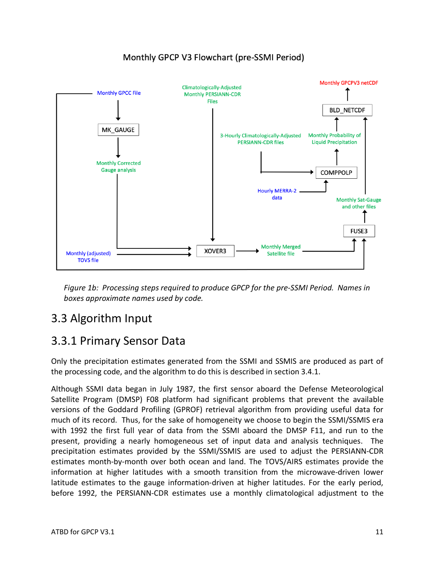#### Monthly GPCPV3 netCDF **Climatologically-Adjusted Monthly GPCC File Monthly PERSIANN-CDR Files BLD NETCDF** MK GAUGE 3-Hourly Climatologically-Adjusted **Monthly Probability of PERSIANN-CDR files Liquid Precipitation Monthly Corrected Gauge analysis COMPPOLP Hourly MERRA-2** data **Monthly Sat-Gauge** and other files FUSE3 **Monthly Merged** XOVER3 **Monthly (adjusted) Satellite file TOVS file**

### Monthly GPCP V3 Flowchart (pre-SSMI Period)

*Figure 1b: Processing steps required to produce GPCP for the pre-SSMI Period. Names in boxes approximate names used by code.*

### 3.3 Algorithm Input

### 3.3.1 Primary Sensor Data

Only the precipitation estimates generated from the SSMI and SSMIS are produced as part of the processing code, and the algorithm to do this is described in section 3.4.1.

Although SSMI data began in July 1987, the first sensor aboard the Defense Meteorological Satellite Program (DMSP) F08 platform had significant problems that prevent the available versions of the Goddard Profiling (GPROF) retrieval algorithm from providing useful data for much of its record. Thus, for the sake of homogeneity we choose to begin the SSMI/SSMIS era with 1992 the first full year of data from the SSMI aboard the DMSP F11, and run to the present, providing a nearly homogeneous set of input data and analysis techniques. The precipitation estimates provided by the SSMI/SSMIS are used to adjust the PERSIANN-CDR estimates month-by-month over both ocean and land. The TOVS/AIRS estimates provide the information at higher latitudes with a smooth transition from the microwave-driven lower latitude estimates to the gauge information-driven at higher latitudes. For the early period, before 1992, the PERSIANN-CDR estimates use a monthly climatological adjustment to the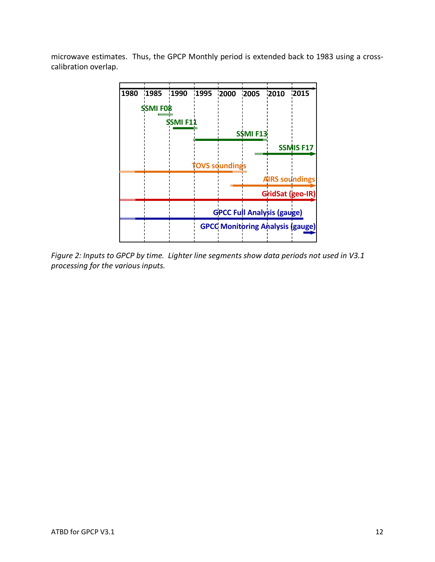microwave estimates. Thus, the GPCP Monthly period is extended back to 1983 using a crosscalibration overlap.



*Figure 2: Inputs to GPCP by time. Lighter line segments show data periods not used in V3.1 processing for the various inputs.*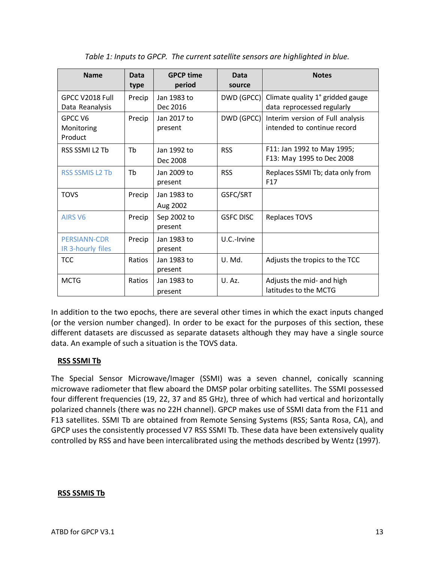| <b>Name</b>                              | Data<br>type | <b>GPCP time</b><br>period | Data<br>source   | <b>Notes</b>                                                    |
|------------------------------------------|--------------|----------------------------|------------------|-----------------------------------------------------------------|
| GPCC V2018 Full<br>Data Reanalysis       | Precip       | Jan 1983 to<br>Dec 2016    | DWD (GPCC)       | Climate quality 1° gridded gauge<br>data reprocessed regularly  |
| GPCC V6<br>Monitoring<br>Product         | Precip       | Jan 2017 to<br>present     | DWD (GPCC)       | Interim version of Full analysis<br>intended to continue record |
| RSS SSMI L2 Tb                           | Th           | Jan 1992 to<br>Dec 2008    | <b>RSS</b>       | F11: Jan 1992 to May 1995;<br>F13: May 1995 to Dec 2008         |
| <b>RSS SSMIS L2 Tb</b>                   | Tb           | Jan 2009 to<br>present     | <b>RSS</b>       | Replaces SSMI Tb; data only from<br>F <sub>17</sub>             |
| <b>TOVS</b>                              | Precip       | Jan 1983 to<br>Aug 2002    | GSFC/SRT         |                                                                 |
| <b>AIRS V6</b>                           | Precip       | Sep 2002 to<br>present     | <b>GSFC DISC</b> | <b>Replaces TOVS</b>                                            |
| <b>PERSIANN-CDR</b><br>IR 3-hourly files | Precip       | Jan 1983 to<br>present     | U.C.-Irvine      |                                                                 |
| <b>TCC</b>                               | Ratios       | Jan 1983 to<br>present     | U. Md.           | Adjusts the tropics to the TCC                                  |
| <b>MCTG</b>                              | Ratios       | Jan 1983 to<br>present     | U.Az.            | Adjusts the mid- and high<br>latitudes to the MCTG              |

*Table 1: Inputs to GPCP. The current satellite sensors are highlighted in blue.* 

In addition to the two epochs, there are several other times in which the exact inputs changed (or the version number changed). In order to be exact for the purposes of this section, these different datasets are discussed as separate datasets although they may have a single source data. An example of such a situation is the TOVS data.

### **RSS SSMI Tb**

The Special Sensor Microwave/Imager (SSMI) was a seven channel, conically scanning microwave radiometer that flew aboard the DMSP polar orbiting satellites. The SSMI possessed four different frequencies (19, 22, 37 and 85 GHz), three of which had vertical and horizontally polarized channels (there was no 22H channel). GPCP makes use of SSMI data from the F11 and F13 satellites. SSMI Tb are obtained from Remote Sensing Systems (RSS; Santa Rosa, CA), and GPCP uses the consistently processed V7 RSS SSMI Tb. These data have been extensively quality controlled by RSS and have been intercalibrated using the methods described by Wentz (1997).

#### **RSS SSMIS Tb**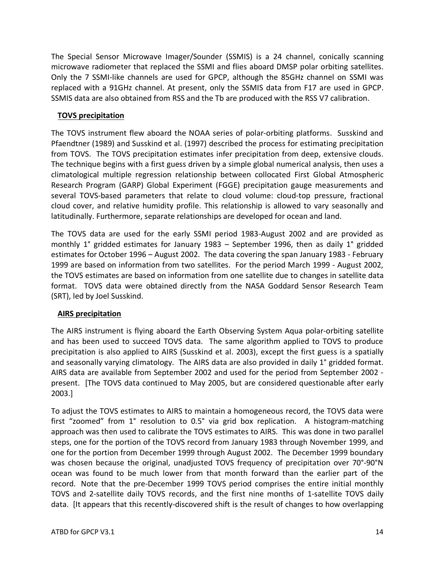The Special Sensor Microwave Imager/Sounder (SSMIS) is a 24 channel, conically scanning microwave radiometer that replaced the SSMI and flies aboard DMSP polar orbiting satellites. Only the 7 SSMI-like channels are used for GPCP, although the 85GHz channel on SSMI was replaced with a 91GHz channel. At present, only the SSMIS data from F17 are used in GPCP. SSMIS data are also obtained from RSS and the Tb are produced with the RSS V7 calibration.

### **TOVS precipitation**

The TOVS instrument flew aboard the NOAA series of polar-orbiting platforms. Susskind and Pfaendtner (1989) and Susskind et al. (1997) described the process for estimating precipitation from TOVS. The TOVS precipitation estimates infer precipitation from deep, extensive clouds. The technique begins with a first guess driven by a simple global numerical analysis, then uses a climatological multiple regression relationship between collocated First Global Atmospheric Research Program (GARP) Global Experiment (FGGE) precipitation gauge measurements and several TOVS-based parameters that relate to cloud volume: cloud-top pressure, fractional cloud cover, and relative humidity profile. This relationship is allowed to vary seasonally and latitudinally. Furthermore, separate relationships are developed for ocean and land.

The TOVS data are used for the early SSMI period 1983-August 2002 and are provided as monthly 1° gridded estimates for January 1983 – September 1996, then as daily 1° gridded estimates for October 1996 – August 2002. The data covering the span January 1983 - February 1999 are based on information from two satellites. For the period March 1999 - August 2002, the TOVS estimates are based on information from one satellite due to changes in satellite data format. TOVS data were obtained directly from the NASA Goddard Sensor Research Team (SRT), led by Joel Susskind.

### **AIRS precipitation**

The AIRS instrument is flying aboard the Earth Observing System Aqua polar-orbiting satellite and has been used to succeed TOVS data. The same algorithm applied to TOVS to produce precipitation is also applied to AIRS (Susskind et al. 2003), except the first guess is a spatially and seasonally varying climatology. The AIRS data are also provided in daily 1° gridded format. AIRS data are available from September 2002 and used for the period from September 2002 present. [The TOVS data continued to May 2005, but are considered questionable after early 2003.]

To adjust the TOVS estimates to AIRS to maintain a homogeneous record, the TOVS data were first "zoomed" from 1° resolution to 0.5° via grid box replication. A histogram-matching approach was then used to calibrate the TOVS estimates to AIRS. This was done in two parallel steps, one for the portion of the TOVS record from January 1983 through November 1999, and one for the portion from December 1999 through August 2002. The December 1999 boundary was chosen because the original, unadjusted TOVS frequency of precipitation over 70°-90°N ocean was found to be much lower from that month forward than the earlier part of the record. Note that the pre-December 1999 TOVS period comprises the entire initial monthly TOVS and 2-satellite daily TOVS records, and the first nine months of 1-satellite TOVS daily data. [It appears that this recently-discovered shift is the result of changes to how overlapping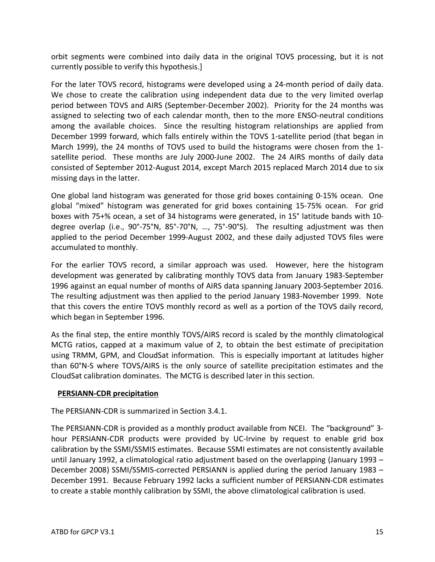orbit segments were combined into daily data in the original TOVS processing, but it is not currently possible to verify this hypothesis.]

For the later TOVS record, histograms were developed using a 24-month period of daily data. We chose to create the calibration using independent data due to the very limited overlap period between TOVS and AIRS (September-December 2002). Priority for the 24 months was assigned to selecting two of each calendar month, then to the more ENSO-neutral conditions among the available choices. Since the resulting histogram relationships are applied from December 1999 forward, which falls entirely within the TOVS 1-satellite period (that began in March 1999), the 24 months of TOVS used to build the histograms were chosen from the 1 satellite period. These months are July 2000-June 2002. The 24 AIRS months of daily data consisted of September 2012-August 2014, except March 2015 replaced March 2014 due to six missing days in the latter.

One global land histogram was generated for those grid boxes containing 0-15% ocean. One global "mixed" histogram was generated for grid boxes containing 15-75% ocean. For grid boxes with 75+% ocean, a set of 34 histograms were generated, in 15° latitude bands with 10 degree overlap (i.e., 90°-75°N, 85°-70°N, …, 75°-90°S). The resulting adjustment was then applied to the period December 1999-August 2002, and these daily adjusted TOVS files were accumulated to monthly.

For the earlier TOVS record, a similar approach was used. However, here the histogram development was generated by calibrating monthly TOVS data from January 1983-September 1996 against an equal number of months of AIRS data spanning January 2003-September 2016. The resulting adjustment was then applied to the period January 1983-November 1999. Note that this covers the entire TOVS monthly record as well as a portion of the TOVS daily record, which began in September 1996.

As the final step, the entire monthly TOVS/AIRS record is scaled by the monthly climatological MCTG ratios, capped at a maximum value of 2, to obtain the best estimate of precipitation using TRMM, GPM, and CloudSat information. This is especially important at latitudes higher than 60°N-S where TOVS/AIRS is the only source of satellite precipitation estimates and the CloudSat calibration dominates. The MCTG is described later in this section.

#### **PERSIANN-CDR precipitation**

The PERSIANN-CDR is summarized in Section 3.4.1.

The PERSIANN-CDR is provided as a monthly product available from NCEI. The "background" 3 hour PERSIANN-CDR products were provided by UC-Irvine by request to enable grid box calibration by the SSMI/SSMIS estimates. Because SSMI estimates are not consistently available until January 1992, a climatological ratio adjustment based on the overlapping (January 1993 – December 2008) SSMI/SSMIS-corrected PERSIANN is applied during the period January 1983 – December 1991. Because February 1992 lacks a sufficient number of PERSIANN-CDR estimates to create a stable monthly calibration by SSMI, the above climatological calibration is used.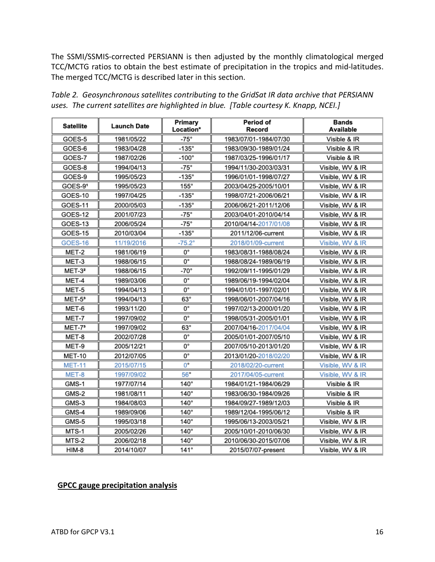The SSMI/SSMIS-corrected PERSIANN is then adjusted by the monthly climatological merged TCC/MCTG ratios to obtain the best estimate of precipitation in the tropics and mid-latitudes. The merged TCC/MCTG is described later in this section.

| <b>Satellite</b>   | Launch Date | Primary<br>Location* | Period of<br>Record                       | Bands<br>Available |  |
|--------------------|-------------|----------------------|-------------------------------------------|--------------------|--|
| GOES-5             | 1981/05/22  | $-75^\circ$          | 1983/07/01-1984/07/30                     | Visible & IR       |  |
| GOES-6             | 1983/04/28  | $-135^\circ$         | 1983/09/30-1989/01/24                     | Visible & IR       |  |
| GOES-7             | 1987/02/26  | $-100^\circ$         | 1987/03/25-1996/01/17                     | Visible & IR       |  |
| GOES-8             | 1994/04/13  | $-75^\circ$          | 1994/11/30-2003/03/31                     | Visible, WV & IR   |  |
| GOES-9             | 1995/05/23  | -135°                | 1996/01/01-1998/07/27                     | Visible, WV & IR   |  |
| GOES-91            | 1995/05/23  | $155^\circ$          | 2003/04/25-2005/10/01                     | Visible, WV & IR   |  |
| GOES-10            | 1997/04/25  | $-135^\circ$         | 1998/07/21-2006/06/21                     | Visible, WV & IR   |  |
| GOES-11            | 2000/05/03  | $-135^\circ$         | 2006/06/21-2011/12/06                     | Visible, WV & IR   |  |
| GOES-12            | 2001/07/23  | $-75^\circ$          | 2003/04/01-2010/04/14                     | Visible, WV & IR   |  |
| GOES-13            | 2006/05/24  | -75°                 | 2010/04/14-2017/01/08                     | Visible, WV & IR   |  |
| GOES-15            | 2010/03/04  | $-135^\circ$         | 2011/12/06-current                        | Visible, WV & IR   |  |
| <b>GOES-16</b>     | 11/19/2016  | $-75.2^{\circ}$      | 2018/01/09-current                        | Visible, WV & IR   |  |
| MET-2              | 1981/06/19  | 0°                   | 1983/08/31-1988/08/24                     | Visible, WV & IR   |  |
| MET-3              | 1988/06/15  | 0°                   | 1988/08/24-1989/06/19                     | Visible, WV & IR   |  |
| MET-3 <sup>2</sup> | 1988/06/15  | $-70^\circ$          | 1992/09/11-1995/01/29                     | Visible, WV & IR   |  |
| MET-4              | 1989/03/06  | 0°                   | 1989/06/19-1994/02/04                     | Visible, WV & IR   |  |
| MET-5              | 1994/04/13  | 0°                   | 1994/01/01-1997/02/01                     | Visible, WV & IR   |  |
| $MET-53$           | 1994/04/13  | $63^\circ$           | 1998/06/01-2007/04/16                     | Visible, WV & IR   |  |
| MET-6              | 1993/11/20  | 0°                   | 1997/02/13-2000/01/20<br>Visible, WV & IR |                    |  |
| MET-7              | 1997/09/02  | 0°                   | 1998/05/31-2005/01/01<br>Visible, WV & IR |                    |  |
| MET-7 <sup>3</sup> | 1997/09/02  | $63^\circ$           | 2007/04/16-2017/04/04                     | Visible, WV & IR   |  |
| MET-8              | 2002/07/28  | 0°                   | 2005/01/01-2007/05/10                     | Visible, WV & IR   |  |
| MET-9              | 2005/12/21  | 0°                   | 2007/05/10-2013/01/20                     | Visible, WV & IR   |  |
| <b>MET-10</b>      | 2012/07/05  | О°                   | <b>2013/01/20-</b> 2018/02/20             | Visible, WV & IR   |  |
| <b>MET-11</b>      | 2015/07/15  | $0^{\circ}$          | 2018/02/20-current                        | Visible, WV & IR   |  |
| MET-8              | 1997/09/02  | 56°                  | 2017/04/05-current                        | Visible, WV & IR   |  |
| GMS-1              | 1977/07/14  | 140°                 | 1984/01/21-1984/06/29                     | Visible & IR       |  |
| GMS-2              | 1981/08/11  | 140°                 | 1983/06/30-1984/09/26                     | Visible & IR       |  |
| GMS-3              | 1984/08/03  | $140^\circ$          | 1984/09/27-1989/12/03                     | Visible & IR       |  |
| GMS-4              | 1989/09/06  | $140^\circ$          | 1989/12/04-1995/06/12                     | Visible & IR       |  |
| GMS-5              | 1995/03/18  | $140^\circ$          | 1995/06/13-2003/05/21                     | Visible, WV & IR   |  |
| MTS-1              | 2005/02/26  | $140^\circ$          | 2005/10/01-2010/06/30                     | Visible, WV & IR   |  |
| MTS-2              | 2006/02/18  | 140°                 | 2010/06/30-2015/07/06                     | Visible, WV & IR   |  |
| HIM-8              | 2014/10/07  | 141°                 | 2015/07/07-present                        | Visible, WV & IR   |  |

| Table 2. Geosynchronous satellites contributing to the GridSat IR data archive that PERSIANN |  |  |  |  |  |  |  |  |  |  |  |
|----------------------------------------------------------------------------------------------|--|--|--|--|--|--|--|--|--|--|--|
| uses. The current satellites are highlighted in blue. [Table courtesy K. Knapp, NCEI.]       |  |  |  |  |  |  |  |  |  |  |  |

### **GPCC gauge precipitation analysis**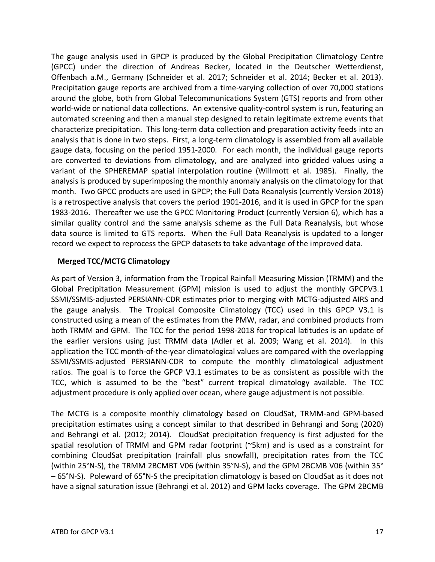The gauge analysis used in GPCP is produced by the Global Precipitation Climatology Centre (GPCC) under the direction of Andreas Becker, located in the Deutscher Wetterdienst, Offenbach a.M., Germany (Schneider et al. 2017; Schneider et al. 2014; Becker et al. 2013). Precipitation gauge reports are archived from a time-varying collection of over 70,000 stations around the globe, both from Global Telecommunications System (GTS) reports and from other world-wide or national data collections. An extensive quality-control system is run, featuring an automated screening and then a manual step designed to retain legitimate extreme events that characterize precipitation. This long-term data collection and preparation activity feeds into an analysis that is done in two steps. First, a long-term climatology is assembled from all available gauge data, focusing on the period 1951-2000. For each month, the individual gauge reports are converted to deviations from climatology, and are analyzed into gridded values using a variant of the SPHEREMAP spatial interpolation routine (Willmott et al. 1985). Finally, the analysis is produced by superimposing the monthly anomaly analysis on the climatology for that month. Two GPCC products are used in GPCP; the Full Data Reanalysis (currently Version 2018) is a retrospective analysis that covers the period 1901-2016, and it is used in GPCP for the span 1983-2016. Thereafter we use the GPCC Monitoring Product (currently Version 6), which has a similar quality control and the same analysis scheme as the Full Data Reanalysis, but whose data source is limited to GTS reports. When the Full Data Reanalysis is updated to a longer record we expect to reprocess the GPCP datasets to take advantage of the improved data.

#### **Merged TCC/MCTG Climatology**

As part of Version 3, information from the Tropical Rainfall Measuring Mission (TRMM) and the Global Precipitation Measurement (GPM) mission is used to adjust the monthly GPCPV3.1 SSMI/SSMIS-adjusted PERSIANN-CDR estimates prior to merging with MCTG-adjusted AIRS and the gauge analysis. The Tropical Composite Climatology (TCC) used in this GPCP V3.1 is constructed using a mean of the estimates from the PMW, radar, and combined products from both TRMM and GPM. The TCC for the period 1998-2018 for tropical latitudes is an update of the earlier versions using just TRMM data (Adler et al. 2009; Wang et al. 2014). In this application the TCC month-of-the-year climatological values are compared with the overlapping SSMI/SSMIS-adjusted PERSIANN-CDR to compute the monthly climatological adjustment ratios. The goal is to force the GPCP V3.1 estimates to be as consistent as possible with the TCC, which is assumed to be the "best" current tropical climatology available. The TCC adjustment procedure is only applied over ocean, where gauge adjustment is not possible.

The MCTG is a composite monthly climatology based on CloudSat, TRMM-and GPM-based precipitation estimates using a concept similar to that described in Behrangi and Song (2020) and Behrangi et al. (2012; 2014). CloudSat precipitation frequency is first adjusted for the spatial resolution of TRMM and GPM radar footprint (~5km) and is used as a constraint for combining CloudSat precipitation (rainfall plus snowfall), precipitation rates from the TCC (within 25°N-S), the TRMM 2BCMBT V06 (within 35°N-S), and the GPM 2BCMB V06 (within 35° – 65°N-S). Poleward of 65°N-S the precipitation climatology is based on CloudSat as it does not have a signal saturation issue (Behrangi et al. 2012) and GPM lacks coverage. The GPM 2BCMB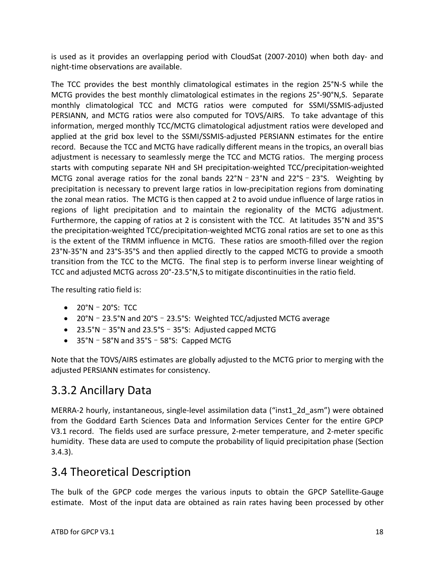is used as it provides an overlapping period with CloudSat (2007-2010) when both day- and night-time observations are available.

The TCC provides the best monthly climatological estimates in the region 25°N-S while the MCTG provides the best monthly climatological estimates in the regions 25°-90°N,S. Separate monthly climatological TCC and MCTG ratios were computed for SSMI/SSMIS-adjusted PERSIANN, and MCTG ratios were also computed for TOVS/AIRS. To take advantage of this information, merged monthly TCC/MCTG climatological adjustment ratios were developed and applied at the grid box level to the SSMI/SSMIS-adjusted PERSIANN estimates for the entire record. Because the TCC and MCTG have radically different means in the tropics, an overall bias adjustment is necessary to seamlessly merge the TCC and MCTG ratios. The merging process starts with computing separate NH and SH precipitation-weighted TCC/precipitation-weighted MCTG zonal average ratios for the zonal bands  $22^{\circ}N$  –  $23^{\circ}N$  and  $22^{\circ}S$  –  $23^{\circ}S$ . Weighting by precipitation is necessary to prevent large ratios in low-precipitation regions from dominating the zonal mean ratios. The MCTG is then capped at 2 to avoid undue influence of large ratios in regions of light precipitation and to maintain the regionality of the MCTG adjustment. Furthermore, the capping of ratios at 2 is consistent with the TCC. At latitudes 35°N and 35°S the precipitation-weighted TCC/precipitation-weighted MCTG zonal ratios are set to one as this is the extent of the TRMM influence in MCTG. These ratios are smooth-filled over the region 23°N-35°N and 23°S-35°S and then applied directly to the capped MCTG to provide a smooth transition from the TCC to the MCTG. The final step is to perform inverse linear weighting of TCC and adjusted MCTG across 20°-23.5°N,S to mitigate discontinuities in the ratio field.

The resulting ratio field is:

- 20°N–20°S: TCC
- 20°N–23.5°N and 20°S–23.5°S: Weighted TCC/adjusted MCTG average
- 23.5°N–35°N and 23.5°S–35°S: Adjusted capped MCTG
- 35°N–58°N and 35°S–58°S: Capped MCTG

Note that the TOVS/AIRS estimates are globally adjusted to the MCTG prior to merging with the adjusted PERSIANN estimates for consistency.

### 3.3.2 Ancillary Data

MERRA-2 hourly, instantaneous, single-level assimilation data ("inst1\_2d\_asm") were obtained from the Goddard Earth Sciences Data and Information Services Center for the entire GPCP V3.1 record. The fields used are surface pressure, 2-meter temperature, and 2-meter specific humidity. These data are used to compute the probability of liquid precipitation phase (Section 3.4.3).

### 3.4 Theoretical Description

The bulk of the GPCP code merges the various inputs to obtain the GPCP Satellite-Gauge estimate. Most of the input data are obtained as rain rates having been processed by other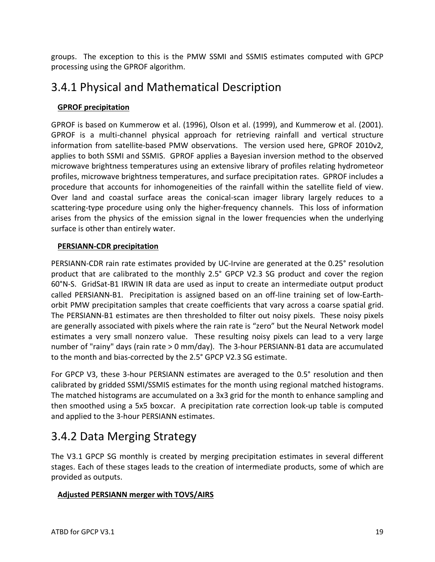groups. The exception to this is the PMW SSMI and SSMIS estimates computed with GPCP processing using the GPROF algorithm.

### 3.4.1 Physical and Mathematical Description

### **GPROF precipitation**

GPROF is based on Kummerow et al. (1996), Olson et al. (1999), and Kummerow et al. (2001). GPROF is a multi-channel physical approach for retrieving rainfall and vertical structure information from satellite-based PMW observations. The version used here, GPROF 2010v2, applies to both SSMI and SSMIS. GPROF applies a Bayesian inversion method to the observed microwave brightness temperatures using an extensive library of profiles relating hydrometeor profiles, microwave brightness temperatures, and surface precipitation rates. GPROF includes a procedure that accounts for inhomogeneities of the rainfall within the satellite field of view. Over land and coastal surface areas the conical-scan imager library largely reduces to a scattering-type procedure using only the higher-frequency channels. This loss of information arises from the physics of the emission signal in the lower frequencies when the underlying surface is other than entirely water.

### **PERSIANN-CDR precipitation**

PERSIANN-CDR rain rate estimates provided by UC-Irvine are generated at the 0.25° resolution product that are calibrated to the monthly 2.5° GPCP V2.3 SG product and cover the region 60°N-S. GridSat-B1 IRWIN IR data are used as input to create an intermediate output product called PERSIANN-B1. Precipitation is assigned based on an off-line training set of low-Earthorbit PMW precipitation samples that create coefficients that vary across a coarse spatial grid. The PERSIANN-B1 estimates are then thresholded to filter out noisy pixels. These noisy pixels are generally associated with pixels where the rain rate is "zero" but the Neural Network model estimates a very small nonzero value. These resulting noisy pixels can lead to a very large number of "rainy" days (rain rate > 0 mm/day). The 3-hour PERSIANN-B1 data are accumulated to the month and bias-corrected by the 2.5° GPCP V2.3 SG estimate.

For GPCP V3, these 3-hour PERSIANN estimates are averaged to the 0.5° resolution and then calibrated by gridded SSMI/SSMIS estimates for the month using regional matched histograms. The matched histograms are accumulated on a 3x3 grid for the month to enhance sampling and then smoothed using a 5x5 boxcar. A precipitation rate correction look-up table is computed and applied to the 3-hour PERSIANN estimates.

## 3.4.2 Data Merging Strategy

The V3.1 GPCP SG monthly is created by merging precipitation estimates in several different stages. Each of these stages leads to the creation of intermediate products, some of which are provided as outputs.

### **Adjusted PERSIANN merger with TOVS/AIRS**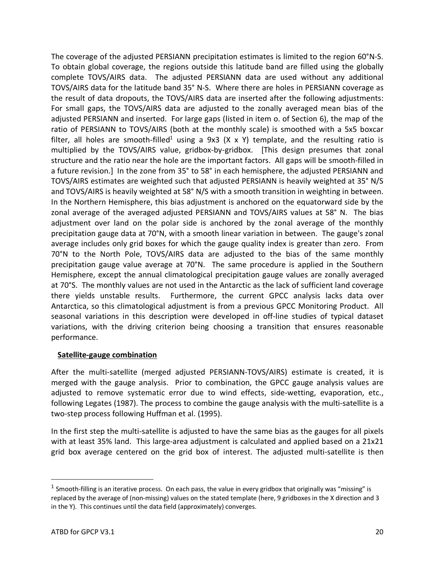The coverage of the adjusted PERSIANN precipitation estimates is limited to the region 60°N-S. To obtain global coverage, the regions outside this latitude band are filled using the globally complete TOVS/AIRS data. The adjusted PERSIANN data are used without any additional TOVS/AIRS data for the latitude band 35° N-S. Where there are holes in PERSIANN coverage as the result of data dropouts, the TOVS/AIRS data are inserted after the following adjustments: For small gaps, the TOVS/AIRS data are adjusted to the zonally averaged mean bias of the adjusted PERSIANN and inserted. For large gaps (listed in item o. of Section 6), the map of the ratio of PERSIANN to TOVS/AIRS (both at the monthly scale) is smoothed with a 5x5 boxcar filter, all holes are smooth-filled<sup>1</sup> using a 9x3 (X x Y) template, and the resulting ratio is multiplied by the TOVS/AIRS value, gridbox-by-gridbox. [This design presumes that zonal structure and the ratio near the hole are the important factors. All gaps will be smooth-filled in a future revision.] In the zone from 35° to 58° in each hemisphere, the adjusted PERSIANN and TOVS/AIRS estimates are weighted such that adjusted PERSIANN is heavily weighted at 35° N/S and TOVS/AIRS is heavily weighted at 58° N/S with a smooth transition in weighting in between. In the Northern Hemisphere, this bias adjustment is anchored on the equatorward side by the zonal average of the averaged adjusted PERSIANN and TOVS/AIRS values at 58° N. The bias adjustment over land on the polar side is anchored by the zonal average of the monthly precipitation gauge data at 70°N, with a smooth linear variation in between. The gauge's zonal average includes only grid boxes for which the gauge quality index is greater than zero. From 70°N to the North Pole, TOVS/AIRS data are adjusted to the bias of the same monthly precipitation gauge value average at 70°N. The same procedure is applied in the Southern Hemisphere, except the annual climatological precipitation gauge values are zonally averaged at 70°S. The monthly values are not used in the Antarctic as the lack of sufficient land coverage there yields unstable results. Furthermore, the current GPCC analysis lacks data over Antarctica, so this climatological adjustment is from a previous GPCC Monitoring Product. All seasonal variations in this description were developed in off-line studies of typical dataset variations, with the driving criterion being choosing a transition that ensures reasonable performance.

#### **Satellite-gauge combination**

After the multi-satellite (merged adjusted PERSIANN-TOVS/AIRS) estimate is created, it is merged with the gauge analysis. Prior to combination, the GPCC gauge analysis values are adjusted to remove systematic error due to wind effects, side-wetting, evaporation, etc., following Legates (1987). The process to combine the gauge analysis with the multi-satellite is a two-step process following Huffman et al. (1995).

In the first step the multi-satellite is adjusted to have the same bias as the gauges for all pixels with at least 35% land. This large-area adjustment is calculated and applied based on a 21x21 grid box average centered on the grid box of interest. The adjusted multi-satellite is then

<sup>&</sup>lt;sup>1</sup> Smooth-filling is an iterative process. On each pass, the value in every gridbox that originally was "missing" is replaced by the average of (non-missing) values on the stated template (here, 9 gridboxes in the X direction and 3 in the Y). This continues until the data field (approximately) converges.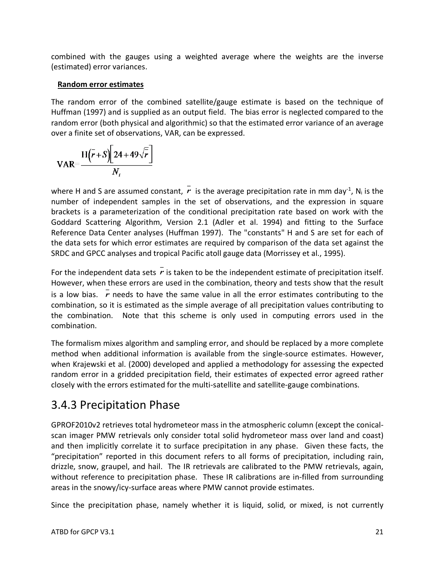combined with the gauges using a weighted average where the weights are the inverse (estimated) error variances.

#### **Random error estimates**

The random error of the combined satellite/gauge estimate is based on the technique of Huffman (1997) and is supplied as an output field. The bias error is neglected compared to the random error (both physical and algorithmic) so that the estimated error variance of an average over a finite set of observations, VAR, can be expressed.

$$
\text{VAR}=\frac{\text{H}(\bar{r}+S)[24+49\sqrt{\bar{r}}]}{N_i}
$$

where H and S are assumed constant,  $\vec{r}$  is the average precipitation rate in mm day<sup>-1</sup>, N<sub>i</sub> is the number of independent samples in the set of observations, and the expression in square brackets is a parameterization of the conditional precipitation rate based on work with the Goddard Scattering Algorithm, Version 2.1 (Adler et al. 1994) and fitting to the Surface Reference Data Center analyses (Huffman 1997). The "constants" H and S are set for each of the data sets for which error estimates are required by comparison of the data set against the SRDC and GPCC analyses and tropical Pacific atoll gauge data (Morrissey et al., 1995).

For the independent data sets  $r$  is taken to be the independent estimate of precipitation itself. However, when these errors are used in the combination, theory and tests show that the result is a low bias.  $r$  needs to have the same value in all the error estimates contributing to the combination, so it is estimated as the simple average of all precipitation values contributing to the combination. Note that this scheme is only used in computing errors used in the combination.

The formalism mixes algorithm and sampling error, and should be replaced by a more complete method when additional information is available from the single-source estimates. However, when Krajewski et al. (2000) developed and applied a methodology for assessing the expected random error in a gridded precipitation field, their estimates of expected error agreed rather closely with the errors estimated for the multi-satellite and satellite-gauge combinations.

### 3.4.3 Precipitation Phase

GPROF2010v2 retrieves total hydrometeor mass in the atmospheric column (except the conicalscan imager PMW retrievals only consider total solid hydrometeor mass over land and coast) and then implicitly correlate it to surface precipitation in any phase. Given these facts, the "precipitation" reported in this document refers to all forms of precipitation, including rain, drizzle, snow, graupel, and hail. The IR retrievals are calibrated to the PMW retrievals, again, without reference to precipitation phase. These IR calibrations are in-filled from surrounding areas in the snowy/icy-surface areas where PMW cannot provide estimates.

Since the precipitation phase, namely whether it is liquid, solid, or mixed, is not currently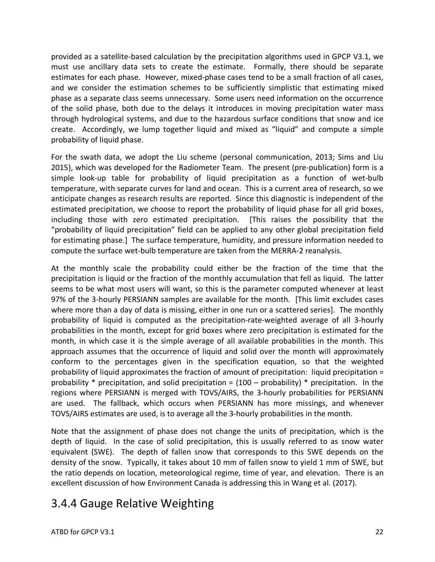provided as a satellite-based calculation by the precipitation algorithms used in GPCP V3.1, we must use ancillary data sets to create the estimate. Formally, there should be separate estimates for each phase. However, mixed-phase cases tend to be a small fraction of all cases, and we consider the estimation schemes to be sufficiently simplistic that estimating mixed phase as a separate class seems unnecessary. Some users need information on the occurrence of the solid phase, both due to the delays it introduces in moving precipitation water mass through hydrological systems, and due to the hazardous surface conditions that snow and ice create. Accordingly, we lump together liquid and mixed as "liquid" and compute a simple probability of liquid phase.

For the swath data, we adopt the Liu scheme (personal communication, 2013; Sims and Liu 2015), which was developed for the Radiometer Team. The present (pre-publication) form is a simple look-up table for probability of liquid precipitation as a function of wet-bulb temperature, with separate curves for land and ocean. This is a current area of research, so we anticipate changes as research results are reported. Since this diagnostic is independent of the estimated precipitation, we choose to report the probability of liquid phase for all grid boxes, including those with zero estimated precipitation. [This raises the possibility that the "probability of liquid precipitation" field can be applied to any other global precipitation field for estimating phase.] The surface temperature, humidity, and pressure information needed to compute the surface wet-bulb temperature are taken from the MERRA-2 reanalysis.

At the monthly scale the probability could either be the fraction of the time that the precipitation is liquid or the fraction of the monthly accumulation that fell as liquid. The latter seems to be what most users will want, so this is the parameter computed whenever at least 97% of the 3-hourly PERSIANN samples are available for the month. [This limit excludes cases where more than a day of data is missing, either in one run or a scattered series]. The monthly probability of liquid is computed as the precipitation-rate-weighted average of all 3-hourly probabilities in the month, except for grid boxes where zero precipitation is estimated for the month, in which case it is the simple average of all available probabilities in the month. This approach assumes that the occurrence of liquid and solid over the month will approximately conform to the percentages given in the specification equation, so that the weighted probability of liquid approximates the fraction of amount of precipitation: liquid precipitation = probability  $*$  precipitation, and solid precipitation =  $(100 -$  probability)  $*$  precipitation. In the regions where PERSIANN is merged with TOVS/AIRS, the 3-hourly probabilities for PERSIANN are used. The fallback, which occurs when PERSIANN has more missings, and whenever TOVS/AIRS estimates are used, is to average all the 3-hourly probabilities in the month.

Note that the assignment of phase does not change the units of precipitation, which is the depth of liquid. In the case of solid precipitation, this is usually referred to as snow water equivalent (SWE). The depth of fallen snow that corresponds to this SWE depends on the density of the snow. Typically, it takes about 10 mm of fallen snow to yield 1 mm of SWE, but the ratio depends on location, meteorological regime, time of year, and elevation. There is an excellent discussion of how Environment Canada is addressing this in Wang et al. (2017).

## 3.4.4 Gauge Relative Weighting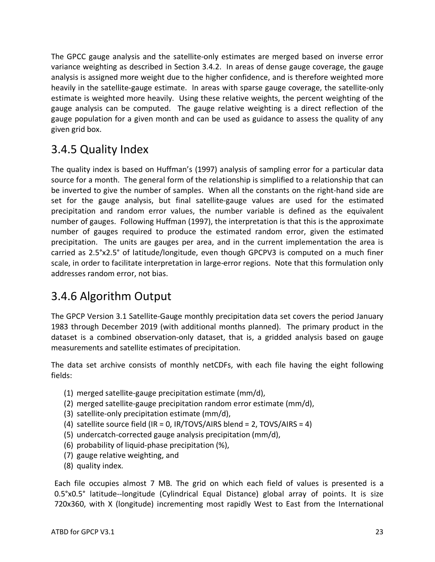The GPCC gauge analysis and the satellite-only estimates are merged based on inverse error variance weighting as described in Section 3.4.2. In areas of dense gauge coverage, the gauge analysis is assigned more weight due to the higher confidence, and is therefore weighted more heavily in the satellite-gauge estimate. In areas with sparse gauge coverage, the satellite-only estimate is weighted more heavily. Using these relative weights, the percent weighting of the gauge analysis can be computed. The gauge relative weighting is a direct reflection of the gauge population for a given month and can be used as guidance to assess the quality of any given grid box.

### 3.4.5 Quality Index

The quality index is based on Huffman's (1997) analysis of sampling error for a particular data source for a month. The general form of the relationship is simplified to a relationship that can be inverted to give the number of samples. When all the constants on the right-hand side are set for the gauge analysis, but final satellite-gauge values are used for the estimated precipitation and random error values, the number variable is defined as the equivalent number of gauges. Following Huffman (1997), the interpretation is that this is the approximate number of gauges required to produce the estimated random error, given the estimated precipitation. The units are gauges per area, and in the current implementation the area is carried as 2.5°x2.5° of latitude/longitude, even though GPCPV3 is computed on a much finer scale, in order to facilitate interpretation in large-error regions. Note that this formulation only addresses random error, not bias.

## 3.4.6 Algorithm Output

The GPCP Version 3.1 Satellite-Gauge monthly precipitation data set covers the period January 1983 through December 2019 (with additional months planned). The primary product in the dataset is a combined observation-only dataset, that is, a gridded analysis based on gauge measurements and satellite estimates of precipitation.

The data set archive consists of monthly netCDFs, with each file having the eight following fields:

- (1) merged satellite-gauge precipitation estimate (mm/d),
- (2) merged satellite-gauge precipitation random error estimate (mm/d),
- (3) satellite-only precipitation estimate (mm/d),
- (4) satellite source field (IR = 0, IR/TOVS/AIRS blend = 2, TOVS/AIRS = 4)
- (5) undercatch-corrected gauge analysis precipitation (mm/d),
- (6) probability of liquid-phase precipitation (%),
- (7) gauge relative weighting, and
- (8) quality index.

Each file occupies almost 7 MB. The grid on which each field of values is presented is a 0.5°x0.5° latitude--longitude (Cylindrical Equal Distance) global array of points. It is size 720x360, with X (longitude) incrementing most rapidly West to East from the International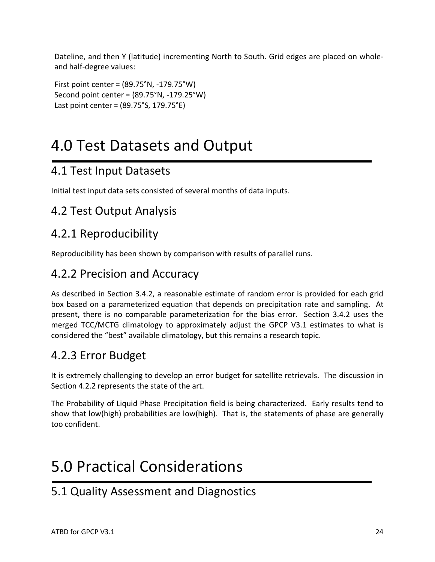Dateline, and then Y (latitude) incrementing North to South. Grid edges are placed on wholeand half-degree values:

First point center = (89.75°N, -179.75°W) Second point center = (89.75°N, -179.25°W) Last point center = (89.75°S, 179.75°E)

# 4.0 Test Datasets and Output

### 4.1 Test Input Datasets

Initial test input data sets consisted of several months of data inputs.

### 4.2 Test Output Analysis

## 4.2.1 Reproducibility

Reproducibility has been shown by comparison with results of parallel runs.

### 4.2.2 Precision and Accuracy

As described in Section 3.4.2, a reasonable estimate of random error is provided for each grid box based on a parameterized equation that depends on precipitation rate and sampling. At present, there is no comparable parameterization for the bias error. Section 3.4.2 uses the merged TCC/MCTG climatology to approximately adjust the GPCP V3.1 estimates to what is considered the "best" available climatology, but this remains a research topic.

## 4.2.3 Error Budget

It is extremely challenging to develop an error budget for satellite retrievals. The discussion in Section 4.2.2 represents the state of the art.

The Probability of Liquid Phase Precipitation field is being characterized. Early results tend to show that low(high) probabilities are low(high). That is, the statements of phase are generally too confident.

# 5.0 Practical Considerations

## 5.1 Quality Assessment and Diagnostics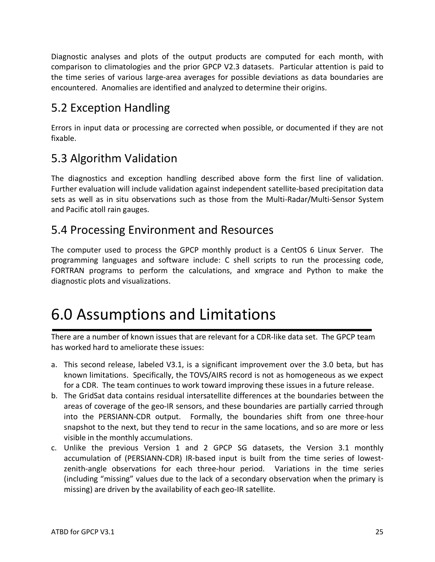Diagnostic analyses and plots of the output products are computed for each month, with comparison to climatologies and the prior GPCP V2.3 datasets. Particular attention is paid to the time series of various large-area averages for possible deviations as data boundaries are encountered. Anomalies are identified and analyzed to determine their origins.

## 5.2 Exception Handling

Errors in input data or processing are corrected when possible, or documented if they are not fixable.

## 5.3 Algorithm Validation

The diagnostics and exception handling described above form the first line of validation. Further evaluation will include validation against independent satellite-based precipitation data sets as well as in situ observations such as those from the Multi-Radar/Multi-Sensor System and Pacific atoll rain gauges.

### 5.4 Processing Environment and Resources

The computer used to process the GPCP monthly product is a CentOS 6 Linux Server. The programming languages and software include: C shell scripts to run the processing code, FORTRAN programs to perform the calculations, and xmgrace and Python to make the diagnostic plots and visualizations.

## 6.0 Assumptions and Limitations

There are a number of known issues that are relevant for a CDR-like data set. The GPCP team has worked hard to ameliorate these issues:

- a. This second release, labeled V3.1, is a significant improvement over the 3.0 beta, but has known limitations. Specifically, the TOVS/AIRS record is not as homogeneous as we expect for a CDR. The team continues to work toward improving these issues in a future release.
- b. The GridSat data contains residual intersatellite differences at the boundaries between the areas of coverage of the geo-IR sensors, and these boundaries are partially carried through into the PERSIANN-CDR output. Formally, the boundaries shift from one three-hour snapshot to the next, but they tend to recur in the same locations, and so are more or less visible in the monthly accumulations.
- c. Unlike the previous Version 1 and 2 GPCP SG datasets, the Version 3.1 monthly accumulation of (PERSIANN-CDR) IR-based input is built from the time series of lowestzenith-angle observations for each three-hour period. Variations in the time series (including "missing" values due to the lack of a secondary observation when the primary is missing) are driven by the availability of each geo-IR satellite.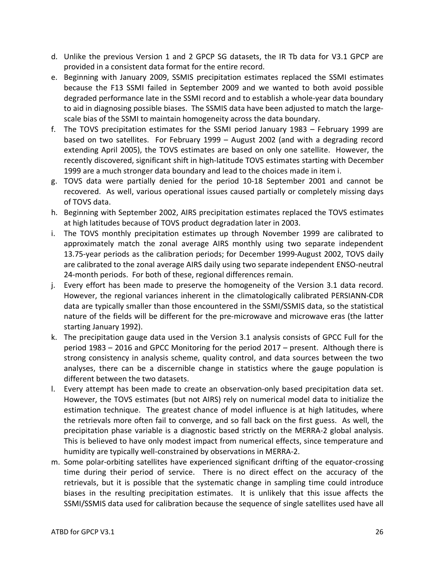- d. Unlike the previous Version 1 and 2 GPCP SG datasets, the IR Tb data for V3.1 GPCP are provided in a consistent data format for the entire record.
- e. Beginning with January 2009, SSMIS precipitation estimates replaced the SSMI estimates because the F13 SSMI failed in September 2009 and we wanted to both avoid possible degraded performance late in the SSMI record and to establish a whole-year data boundary to aid in diagnosing possible biases. The SSMIS data have been adjusted to match the largescale bias of the SSMI to maintain homogeneity across the data boundary.
- f. The TOVS precipitation estimates for the SSMI period January 1983 February 1999 are based on two satellites. For February 1999 – August 2002 (and with a degrading record extending April 2005), the TOVS estimates are based on only one satellite. However, the recently discovered, significant shift in high-latitude TOVS estimates starting with December 1999 are a much stronger data boundary and lead to the choices made in item i.
- g. TOVS data were partially denied for the period 10-18 September 2001 and cannot be recovered. As well, various operational issues caused partially or completely missing days of TOVS data.
- h. Beginning with September 2002, AIRS precipitation estimates replaced the TOVS estimates at high latitudes because of TOVS product degradation later in 2003.
- i. The TOVS monthly precipitation estimates up through November 1999 are calibrated to approximately match the zonal average AIRS monthly using two separate independent 13.75-year periods as the calibration periods; for December 1999-August 2002, TOVS daily are calibrated to the zonal average AIRS daily using two separate independent ENSO-neutral 24-month periods. For both of these, regional differences remain.
- j. Every effort has been made to preserve the homogeneity of the Version 3.1 data record. However, the regional variances inherent in the climatologically calibrated PERSIANN-CDR data are typically smaller than those encountered in the SSMI/SSMIS data, so the statistical nature of the fields will be different for the pre-microwave and microwave eras (the latter starting January 1992).
- k. The precipitation gauge data used in the Version 3.1 analysis consists of GPCC Full for the period 1983 – 2016 and GPCC Monitoring for the period 2017 – present. Although there is strong consistency in analysis scheme, quality control, and data sources between the two analyses, there can be a discernible change in statistics where the gauge population is different between the two datasets.
- l. Every attempt has been made to create an observation-only based precipitation data set. However, the TOVS estimates (but not AIRS) rely on numerical model data to initialize the estimation technique. The greatest chance of model influence is at high latitudes, where the retrievals more often fail to converge, and so fall back on the first guess. As well, the precipitation phase variable is a diagnostic based strictly on the MERRA-2 global analysis. This is believed to have only modest impact from numerical effects, since temperature and humidity are typically well-constrained by observations in MERRA-2.
- m. Some polar-orbiting satellites have experienced significant drifting of the equator-crossing time during their period of service. There is no direct effect on the accuracy of the retrievals, but it is possible that the systematic change in sampling time could introduce biases in the resulting precipitation estimates. It is unlikely that this issue affects the SSMI/SSMIS data used for calibration because the sequence of single satellites used have all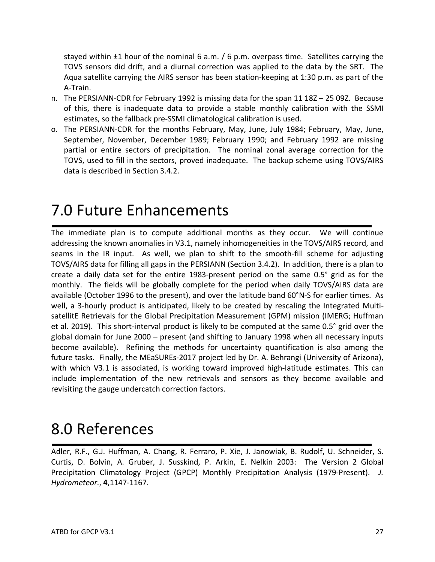stayed within ±1 hour of the nominal 6 a.m. / 6 p.m. overpass time. Satellites carrying the TOVS sensors did drift, and a diurnal correction was applied to the data by the SRT. The Aqua satellite carrying the AIRS sensor has been station-keeping at 1:30 p.m. as part of the A-Train.

- n. The PERSIANN-CDR for February 1992 is missing data for the span 11 18Z 25 09Z. Because of this, there is inadequate data to provide a stable monthly calibration with the SSMI estimates, so the fallback pre-SSMI climatological calibration is used.
- o. The PERSIANN-CDR for the months February, May, June, July 1984; February, May, June, September, November, December 1989; February 1990; and February 1992 are missing partial or entire sectors of precipitation. The nominal zonal average correction for the TOVS, used to fill in the sectors, proved inadequate. The backup scheme using TOVS/AIRS data is described in Section 3.4.2.

# 7.0 Future Enhancements

The immediate plan is to compute additional months as they occur. We will continue addressing the known anomalies in V3.1, namely inhomogeneities in the TOVS/AIRS record, and seams in the IR input. As well, we plan to shift to the smooth-fill scheme for adjusting TOVS/AIRS data for filling all gaps in the PERSIANN (Section 3.4.2). In addition, there is a plan to create a daily data set for the entire 1983-present period on the same 0.5° grid as for the monthly. The fields will be globally complete for the period when daily TOVS/AIRS data are available (October 1996 to the present), and over the latitude band 60°N-S for earlier times. As well, a 3-hourly product is anticipated, likely to be created by rescaling the Integrated MultisatellitE Retrievals for the Global Precipitation Measurement (GPM) mission (IMERG; Huffman et al. 2019). This short-interval product is likely to be computed at the same 0.5° grid over the global domain for June 2000 – present (and shifting to January 1998 when all necessary inputs become available). Refining the methods for uncertainty quantification is also among the future tasks. Finally, the MEaSUREs-2017 project led by Dr. A. Behrangi (University of Arizona), with which V3.1 is associated, is working toward improved high-latitude estimates. This can include implementation of the new retrievals and sensors as they become available and revisiting the gauge undercatch correction factors.

## 8.0 References

Adler, R.F., G.J. Huffman, A. Chang, R. Ferraro, P. Xie, J. Janowiak, B. Rudolf, U. Schneider, S. Curtis, D. Bolvin, A. Gruber, J. Susskind, P. Arkin, E. Nelkin 2003: The Version 2 Global Precipitation Climatology Project (GPCP) Monthly Precipitation Analysis (1979-Present). *J. Hydrometeor*., **4**,1147-1167.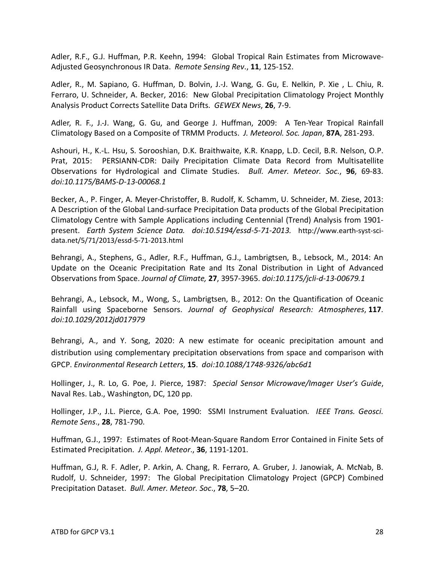Adler, R.F., G.J. Huffman, P.R. Keehn, 1994: Global Tropical Rain Estimates from Microwave-Adjusted Geosynchronous IR Data. *Remote Sensing Rev*., **11**, 125-152.

Adler, R., M. Sapiano, G. Huffman, D. Bolvin, J.-J. Wang, G. Gu, E. Nelkin, P. Xie , L. Chiu, R. Ferraro, U. Schneider, A. Becker, 2016: New Global Precipitation Climatology Project Monthly Analysis Product Corrects Satellite Data Drifts. *GEWEX News*, **26**, 7-9.

Adler, R. F., J.-J. Wang, G. Gu, and George J. Huffman, 2009: A Ten-Year Tropical Rainfall Climatology Based on a Composite of TRMM Products. *J. Meteorol. Soc. Japan*, **87A**, 281-293.

Ashouri, H., K.-L. Hsu, S. Sorooshian, D.K. Braithwaite, K.R. Knapp, L.D. Cecil, B.R. Nelson, O.P. Prat, 2015: PERSIANN-CDR: Daily Precipitation Climate Data Record from Multisatellite Observations for Hydrological and Climate Studies. *Bull. Amer. Meteor. Soc.*, **96**, 69-83. *doi:10.1175/BAMS-D-13-00068.1*

Becker, A., P. Finger, A. Meyer-Christoffer, B. Rudolf, K. Schamm, U. Schneider, M. Ziese, 2013: A Description of the Global Land-surface Precipitation Data products of the Global Precipitation Climatology Centre with Sample Applications including Centennial (Trend) Analysis from 1901 present. *Earth System Science Data. doi:10.5194/essd-5-71-2013.* http://www.earth-syst-scidata.net/5/71/2013/essd-5-71-2013.html

Behrangi, A., Stephens, G., Adler, R.F., Huffman, G.J., Lambrigtsen, B., Lebsock, M., 2014: An Update on the Oceanic Precipitation Rate and Its Zonal Distribution in Light of Advanced Observations from Space. *Journal of Climate,* **27**, 3957-3965. *doi:10.1175/jcli-d-13-00679.1*

Behrangi, A., Lebsock, M., Wong, S., Lambrigtsen, B., 2012: On the Quantification of Oceanic Rainfall using Spaceborne Sensors. *Journal of Geophysical Research: Atmospheres*, **117**. *doi:10.1029/2012jd017979*

Behrangi, A., and Y. Song, 2020: A new estimate for oceanic precipitation amount and distribution using complementary precipitation observations from space and comparison with GPCP. *Environmental Research Letters*, **15**. *doi:10.1088/1748-9326/abc6d1*

Hollinger, J., R. Lo, G. Poe, J. Pierce, 1987: *Special Sensor Microwave/Imager User's Guide*, Naval Res. Lab., Washington, DC, 120 pp.

Hollinger, J.P., J.L. Pierce, G.A. Poe, 1990: SSMI Instrument Evaluation*. IEEE Trans. Geosci. Remote Sens*., **28**, 781-790.

Huffman, G.J., 1997: Estimates of Root-Mean-Square Random Error Contained in Finite Sets of Estimated Precipitation. *J. Appl. Meteor*., **36**, 1191-1201.

Huffman, G.J, R. F. Adler, P. Arkin, A. Chang, R. Ferraro, A. Gruber, J. Janowiak, A. McNab, B. Rudolf, U. Schneider, 1997: The Global Precipitation Climatology Project (GPCP) Combined Precipitation Dataset. *Bull. Amer. Meteor. Soc*., **78**, 5–20.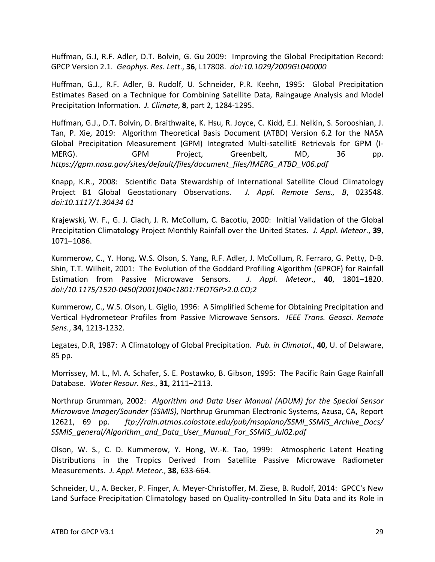Huffman, G.J, R.F. Adler, D.T. Bolvin, G. Gu 2009: Improving the Global Precipitation Record: GPCP Version 2.1. *Geophys. Res. Lett*., **36**, L17808. *doi:10.1029/2009GL040000*

Huffman, G.J., R.F. Adler, B. Rudolf, U. Schneider, P.R. Keehn, 1995: Global Precipitation Estimates Based on a Technique for Combining Satellite Data, Raingauge Analysis and Model Precipitation Information. *J. Climate*, **8**, part 2, 1284-1295.

Huffman, G.J., D.T. Bolvin, D. Braithwaite, K. Hsu, R. Joyce, C. Kidd, E.J. Nelkin, S. Sorooshian, J. Tan, P. Xie, 2019: Algorithm Theoretical Basis Document (ATBD) Version 6.2 for the NASA Global Precipitation Measurement (GPM) Integrated Multi-satellitE Retrievals for GPM (I-MERG). GPM Project, Greenbelt, MD, 36 pp. *https://gpm.nasa.gov/sites/default/files/document\_files/IMERG\_ATBD\_V06.pdf*

Knapp, K.R., 2008: Scientific Data Stewardship of International Satellite Cloud Climatology Project B1 Global Geostationary Observations. *J. Appl. Remote Sens., B*, 023548. *doi:10.1117/1.30434 61*

Krajewski, W. F., G. J. Ciach, J. R. McCollum, C. Bacotiu, 2000: Initial Validation of the Global Precipitation Climatology Project Monthly Rainfall over the United States. *J. Appl. Meteor*., **39**, 1071–1086.

Kummerow, C., Y. Hong, W.S. Olson, S. Yang, R.F. Adler, J. McCollum, R. Ferraro, G. Petty, D-B. Shin, T.T. Wilheit, 2001: The Evolution of the Goddard Profiling Algorithm (GPROF) for Rainfall Estimation from Passive Microwave Sensors. *J. Appl. Meteor*., **40**, 1801–1820. *doi:/10.1175/1520-0450(2001)040<1801:TEOTGP>2.0.CO;2*

Kummerow, C., W.S. Olson, L. Giglio, 1996: A Simplified Scheme for Obtaining Precipitation and Vertical Hydrometeor Profiles from Passive Microwave Sensors. *IEEE Trans. Geosci. Remote Sens*., **34**, 1213-1232.

Legates, D.R, 1987: A Climatology of Global Precipitation. *Pub. in Climatol*., **40**, U. of Delaware, 85 pp.

Morrissey, M. L., M. A. Schafer, S. E. Postawko, B. Gibson, 1995: The Pacific Rain Gage Rainfall Database. *Water Resour. Res*., **31**, 2111–2113.

Northrup Grumman, 2002: *Algorithm and Data User Manual (ADUM) for the Special Sensor Microwave Imager/Sounder (SSMIS)*, Northrup Grumman Electronic Systems, Azusa, CA, Report 12621, 69 pp. *ftp://rain.atmos.colostate.edu/pub/msapiano/SSMI\_SSMIS\_Archive\_Docs/ SSMIS\_general/Algorithm\_and\_Data\_User\_Manual\_For\_SSMIS\_Jul02.pdf*

Olson, W. S., C. D. Kummerow, Y. Hong, W.-K. Tao, 1999: Atmospheric Latent Heating Distributions in the Tropics Derived from Satellite Passive Microwave Radiometer Measurements. *J. Appl. Meteor*., **38**, 633-664.

Schneider, U., A. Becker, P. Finger, A. Meyer-Christoffer, M. Ziese, B. Rudolf, 2014: GPCC's New Land Surface Precipitation Climatology based on Quality-controlled In Situ Data and its Role in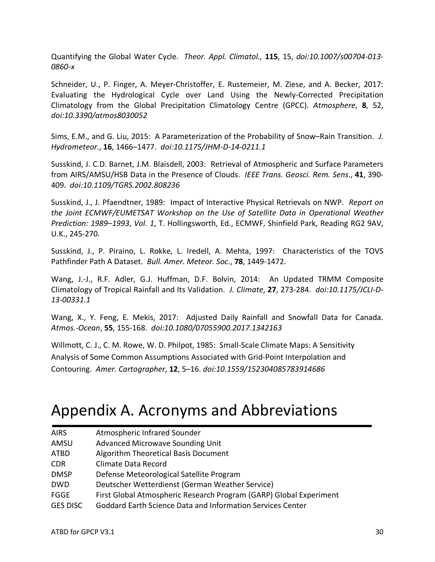Quantifying the Global Water Cycle. *Theor. Appl. Climatol.,* **115**, 15, *doi:10.1007/s00704-013- 0860-x*

Schneider, U., P. Finger, A. Meyer-Christoffer, E. Rustemeier, M. Ziese, and A. Becker, 2017: Evaluating the Hydrological Cycle over Land Using the Newly-Corrected Precipitation Climatology from the Global Precipitation Climatology Centre (GPCC). *Atmosphere*, **8**, 52, *doi:10.3390/atmos8030052*

Sims, E.M., and G. Liu, 2015: A Parameterization of the Probability of Snow–Rain Transition. *J. Hydrometeor*., **16**, 1466–1477. *doi:10.1175/JHM-D-14-0211.1*

Susskind, J. C.D. Barnet, J.M. Blaisdell, 2003: Retrieval of Atmospheric and Surface Parameters from AIRS/AMSU/HSB Data in the Presence of Clouds. *IEEE Trans. Geosci. Rem. Sens*., **41**, 390- 409. *doi:10.1109/TGRS.2002.808236*

Susskind, J., J. Pfaendtner, 1989: Impact of Interactive Physical Retrievals on NWP. *Report on the Joint ECMWF/EUMETSAT Workshop on the Use of Satellite Data in Operational Weather Prediction: 1989–1993*, *Vol. 1*, T. Hollingsworth, Ed., ECMWF, Shinfield Park, Reading RG2 9AV, U.K., 245-270.

Susskind, J., P. Piraino, L. Rokke, L. Iredell, A. Mehta, 1997: Characteristics of the TOVS Pathfinder Path A Dataset. *Bull. Amer. Meteor. Soc*., **78**, 1449-1472.

Wang, J.-J., R.F. Adler, G.J. Huffman, D.F. Bolvin, 2014: An Updated TRMM Composite Climatology of Tropical Rainfall and Its Validation. *J. Climate*, **27**, 273-284. *doi:10.1175/JCLI-D-13-00331.1*

Wang, X., Y. Feng, E. Mekis, 2017: Adjusted Daily Rainfall and Snowfall Data for Canada. *Atmos.-Ocean*, **55**, 155-168. *doi:10.1080/07055900.2017.1342163*

Willmott, C. J., C. M. Rowe, W. D. Philpot, 1985: Small-Scale Climate Maps: A Sensitivity Analysis of Some Common Assumptions Associated with Grid-Point Interpolation and Contouring. *Amer. Cartographer*, **12**, 5–16. *doi:10.1559/152304085783914686*

## Appendix A. Acronyms and Abbreviations

| <b>AIRS</b>     | Atmospheric Infrared Sounder                                       |
|-----------------|--------------------------------------------------------------------|
| AMSU            | <b>Advanced Microwave Sounding Unit</b>                            |
| <b>ATBD</b>     | Algorithm Theoretical Basis Document                               |
| <b>CDR</b>      | <b>Climate Data Record</b>                                         |
| <b>DMSP</b>     | Defense Meteorological Satellite Program                           |
| <b>DWD</b>      | Deutscher Wetterdienst (German Weather Service)                    |
| FGGE            | First Global Atmospheric Research Program (GARP) Global Experiment |
| <b>GES DISC</b> | Goddard Earth Science Data and Information Services Center         |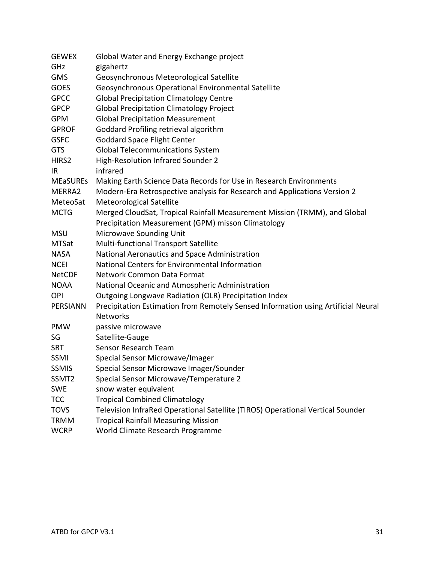| <b>GEWEX</b>      | Global Water and Energy Exchange project                                          |
|-------------------|-----------------------------------------------------------------------------------|
| GHz               | gigahertz                                                                         |
| <b>GMS</b>        | Geosynchronous Meteorological Satellite                                           |
| <b>GOES</b>       | Geosynchronous Operational Environmental Satellite                                |
| <b>GPCC</b>       | <b>Global Precipitation Climatology Centre</b>                                    |
| <b>GPCP</b>       | <b>Global Precipitation Climatology Project</b>                                   |
| <b>GPM</b>        | <b>Global Precipitation Measurement</b>                                           |
| <b>GPROF</b>      | Goddard Profiling retrieval algorithm                                             |
| <b>GSFC</b>       | <b>Goddard Space Flight Center</b>                                                |
| <b>GTS</b>        | <b>Global Telecommunications System</b>                                           |
| HIRS2             | High-Resolution Infrared Sounder 2                                                |
| IR                | infrared                                                                          |
| <b>MEaSUREs</b>   | Making Earth Science Data Records for Use in Research Environments                |
| MERRA2            | Modern-Era Retrospective analysis for Research and Applications Version 2         |
| MeteoSat          | Meteorological Satellite                                                          |
| <b>MCTG</b>       | Merged CloudSat, Tropical Rainfall Measurement Mission (TRMM), and Global         |
|                   | Precipitation Measurement (GPM) misson Climatology                                |
| <b>MSU</b>        | Microwave Sounding Unit                                                           |
| <b>MTSat</b>      | Multi-functional Transport Satellite                                              |
| <b>NASA</b>       | National Aeronautics and Space Administration                                     |
| <b>NCEI</b>       | National Centers for Environmental Information                                    |
| <b>NetCDF</b>     | Network Common Data Format                                                        |
| <b>NOAA</b>       | National Oceanic and Atmospheric Administration                                   |
| <b>OPI</b>        | Outgoing Longwave Radiation (OLR) Precipitation Index                             |
| PERSIANN          | Precipitation Estimation from Remotely Sensed Information using Artificial Neural |
|                   | <b>Networks</b>                                                                   |
| <b>PMW</b>        | passive microwave                                                                 |
| SG                | Satellite-Gauge                                                                   |
| <b>SRT</b>        | Sensor Research Team                                                              |
| SSMI              | Special Sensor Microwave/Imager                                                   |
| <b>SSMIS</b>      | Special Sensor Microwave Imager/Sounder                                           |
| SSMT <sub>2</sub> | Special Sensor Microwave/Temperature 2                                            |
| <b>SWE</b>        | snow water equivalent                                                             |
| <b>TCC</b>        | <b>Tropical Combined Climatology</b>                                              |
| <b>TOVS</b>       | Television InfraRed Operational Satellite (TIROS) Operational Vertical Sounder    |
| <b>TRMM</b>       | <b>Tropical Rainfall Measuring Mission</b>                                        |
| <b>WCRP</b>       | World Climate Research Programme                                                  |